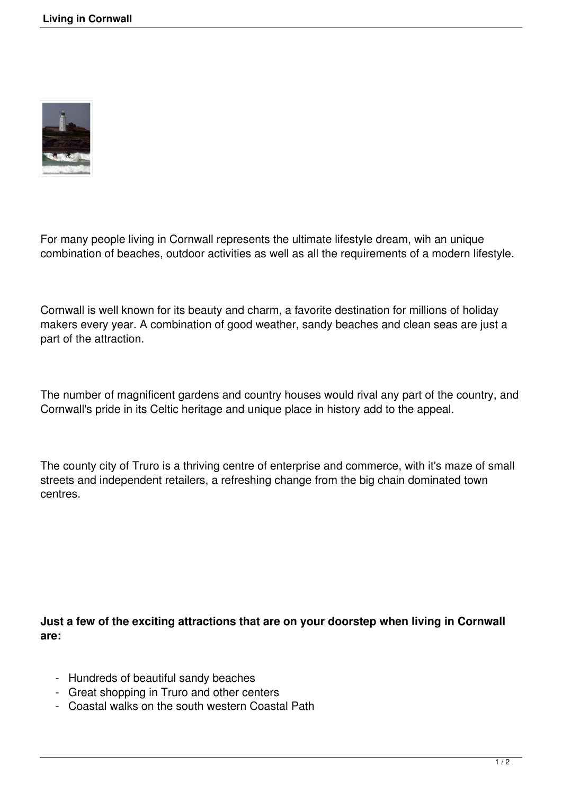

For many people living in Cornwall represents the ultimate lifestyle dream, wih an unique combination of beaches, outdoor activities as well as all the requirements of a modern lifestyle.

Cornwall is well known for its beauty and charm, a favorite destination for millions of holiday makers every year. A combination of good weather, sandy beaches and clean seas are just a part of the attraction.

The number of magnificent gardens and country houses would rival any part of the country, and Cornwall's pride in its Celtic heritage and unique place in history add to the appeal.

The county city of Truro is a thriving centre of enterprise and commerce, with it's maze of small streets and independent retailers, a refreshing change from the big chain dominated town centres.

**Just a few of the exciting attractions that are on your doorstep when living in Cornwall are:**

- Hundreds of beautiful sandy beaches
- Great shopping in Truro and other centers
- Coastal walks on the south western Coastal Path